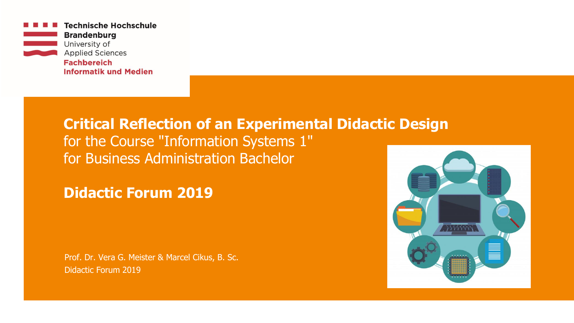

# **Critical Reflection of an Experimental Didactic Design** for the Course "Information Systems 1"

for Business Administration Bachelor

**Didactic Forum 2019**

Prof. Dr. Vera G. Meister & Marcel Cikus, B. Sc. Didactic Forum 2019

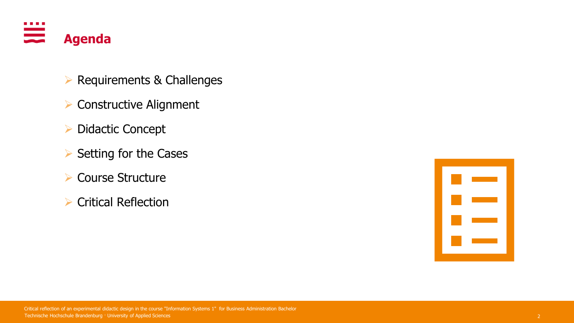

- ➢ Requirements & Challenges
- ➢ Constructive Alignment
- ➢ Didactic Concept
- ➢ Setting for the Cases
- ➢ Course Structure
- ➢ Critical Reflection

| <u>ta m</u>                       |  |
|-----------------------------------|--|
|                                   |  |
|                                   |  |
| <u> Partie de la</u>              |  |
|                                   |  |
| <b>Contract Contract Contract</b> |  |
|                                   |  |
| <b>The Common</b>                 |  |
|                                   |  |
|                                   |  |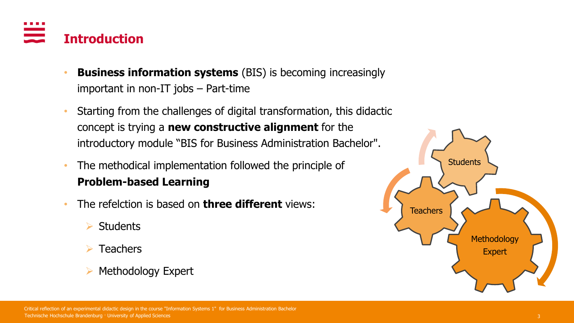

- **Business information systems** (BIS) is becoming increasingly important in non-IT jobs – Part-time
- Starting from the challenges of digital transformation, this didactic concept is trying a **new constructive alignment** for the introductory module "BIS for Business Administration Bachelor".
- The methodical implementation followed the principle of **Problem-based Learning**
- The refelction is based on **three different** views:
	- ➢ Students
	- **Teachers**
	- ➢ Methodology Expert

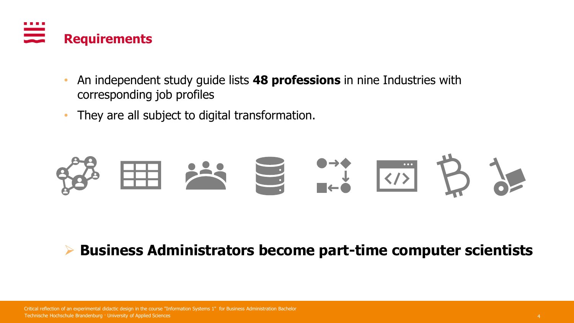

- An independent study guide lists **48 professions** in nine Industries with corresponding job profiles
- They are all subject to digital transformation.



# ➢ **Business Administrators become part-time computer scientists**

Technische Hochschule Brandenburg · University of Applied Sciences 4 Critical reflection of an experimental didactic design in the course "Information Systems 1" for Business Administration Bachelor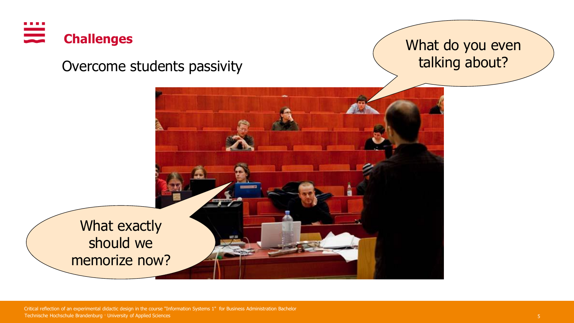

Overcome students passivity

What do you even talking about?



Technische Hochschule Brandenburg · University of Applied Sciences 5 Critical reflection of an experimental didactic design in the course "Information Systems 1" for Business Administration Bachelor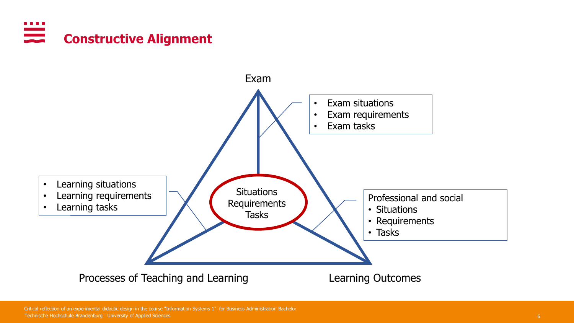#### . . . . **Constructive Alignment**



Technische Hochschule Brandenburg · University of Applied Sciences 6 Critical reflection of an experimental didactic design in the course "Information Systems 1" for Business Administration Bachelor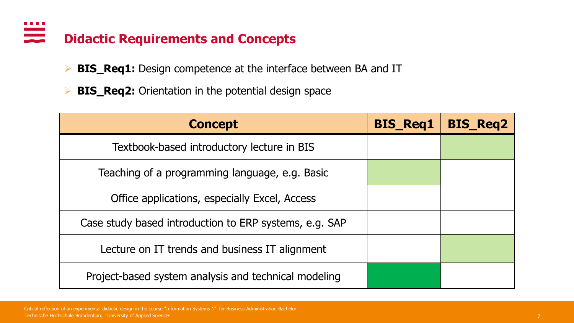#### . . . .  $\equiv$ **Didactic Requirements and Concepts**

- ➢ **BIS\_Req1:** Design competence at the interface between BA and IT
- ➢ **BIS\_Req2:** Orientation in the potential design space

| <b>Concept</b>                                         | <b>BIS_Req1</b> | <b>BIS_Req2</b> |
|--------------------------------------------------------|-----------------|-----------------|
| Textbook-based introductory lecture in BIS             |                 |                 |
| Teaching of a programming language, e.g. Basic         |                 |                 |
| Office applications, especially Excel, Access          |                 |                 |
| Case study based introduction to ERP systems, e.g. SAP |                 |                 |
| Lecture on IT trends and business IT alignment         |                 |                 |
| Project-based system analysis and technical modeling   |                 |                 |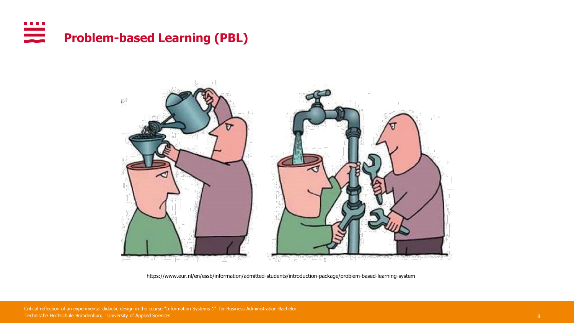



https://www.eur.nl/en/essb/information/admitted-students/introduction-package/problem-based-learning-system

Technische Hochschule Brandenburg · University of Applied Sciences 8 Critical reflection of an experimental didactic design in the course "Information Systems 1" for Business Administration Bachelor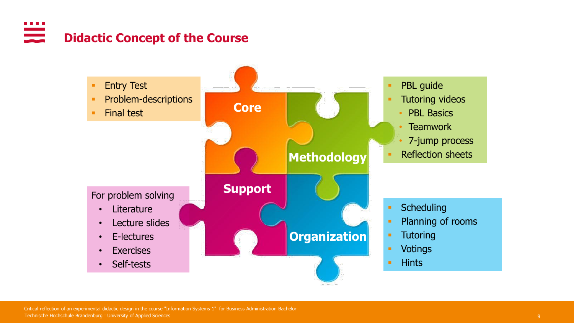#### . . . . <u>ana</u> **Didactic Concept of the Course**

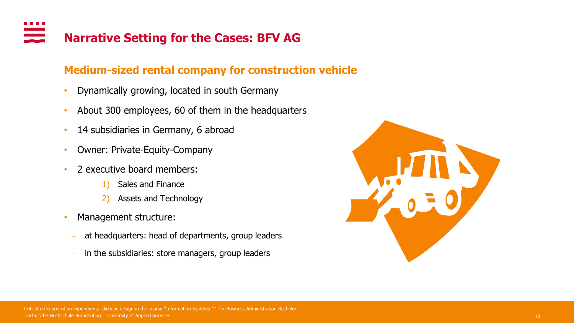# **Narrative Setting for the Cases: BFV AG**

## **Medium-sized rental company for construction vehicle**

- Dynamically growing, located in south Germany
- About 300 employees, 60 of them in the headquarters
- 14 subsidiaries in Germany, 6 abroad
- Owner: Private-Equity-Company
- 2 executive board members:
	- 1) Sales and Finance
	- 2) Assets and Technology
- Management structure:
	- at headquarters: head of departments, group leaders
	- in the subsidiaries: store managers, group leaders

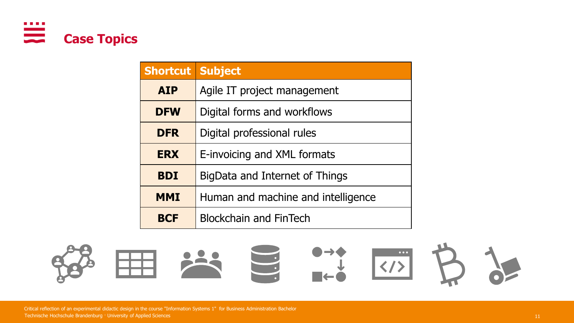

| <b>Shortcut Subject</b> |                                    |
|-------------------------|------------------------------------|
| <b>AIP</b>              | Agile IT project management        |
| <b>DFW</b>              | Digital forms and workflows        |
| <b>DFR</b>              | Digital professional rules         |
| <b>ERX</b>              | E-invoicing and XML formats        |
| <b>BDI</b>              | BigData and Internet of Things     |
| <b>MMI</b>              | Human and machine and intelligence |
| <b>BCF</b>              | <b>Blockchain and FinTech</b>      |



Technische Hochschule Brandenburg · University of Applied Sciences 11 11 12 and 200 million of the Control of Applied Sciences 11 12 and 200 million of the Control of Applied Sciences 11 12 and 200 million of the Control o Critical reflection of an experimental didactic design in the course "Information Systems 1" for Business Administration Bachelor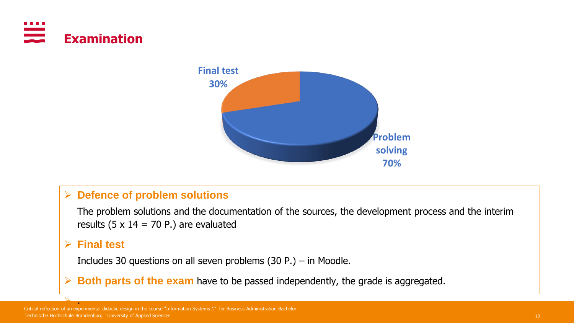



### ➢ **Defence of problem solutions**

The problem solutions and the documentation of the sources, the development process and the interim results (5  $\times$  14 = 70 P.) are evaluated

### ➢ **Final test**

 $\mathbb{Z}$  .

Includes 30 questions on all seven problems (30 P.) – in Moodle.

➢ **Both parts of the exam** have to be passed independently, the grade is aggregated.

Technische Hochschule Brandenburg · University of Applied Sciences 12 Critical reflection of an experimental didactic design in the course "Information Systems 1" for Business Administration Bachelor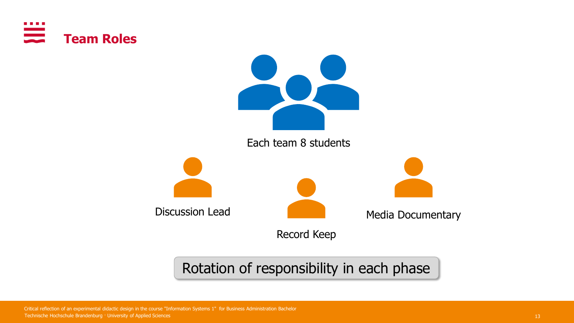



Rotation of responsibility in each phase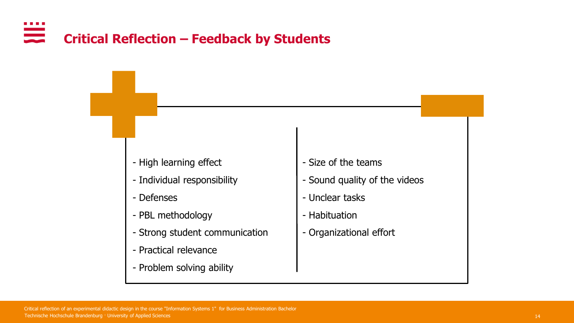#### . . . . **Critical Reflection – Feedback by Students**

- High learning effect
- Individual responsibility
- Defenses
- PBL methodology
- Strong student communication
- Practical relevance
- Problem solving ability
- Size of the teams
- Sound quality of the videos
- Unclear tasks
- Habituation
- Organizational effort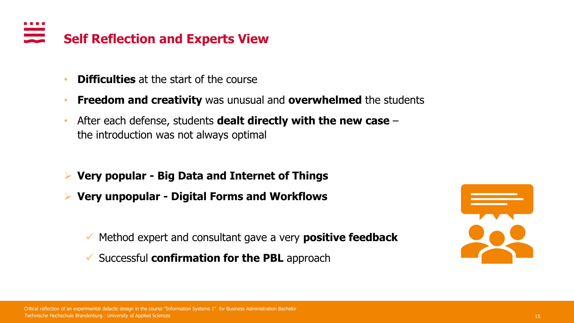# **Self Reflection and Experts View**

- **Difficulties** at the start of the course
- **Freedom and creativity** was unusual and **overwhelmed** the students
- After each defense, students **dealt directly with the new case**  the introduction was not always optimal
- ➢ **Very popular - Big Data and Internet of Things**
- ➢ **Very unpopular - Digital Forms and Workflows**
	- ✓ Method expert and consultant gave a very **positive feedback**
	- ✓ Successful **confirmation for the PBL** approach

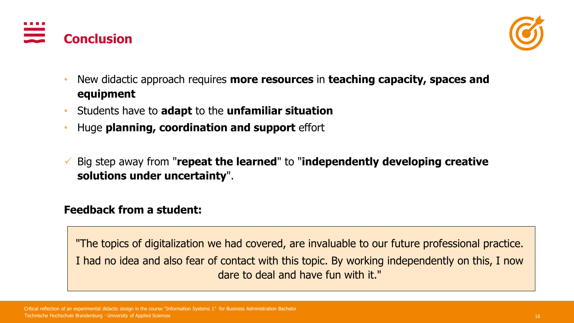



- New didactic approach requires **more resources** in **teaching capacity, spaces and equipment**
- Students have to **adapt** to the **unfamiliar situation**
- Huge **planning, coordination and support** effort
- ✓ Big step away from "**repeat the learned**" to "**independently developing creative solutions under uncertainty**".

## **Feedback from a student:**

"The topics of digitalization we had covered, are invaluable to our future professional practice. I had no idea and also fear of contact with this topic. By working independently on this, I now dare to deal and have fun with it."